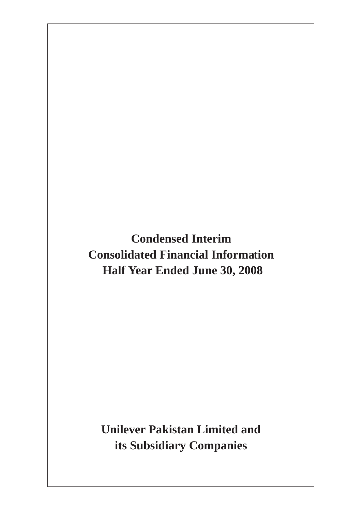**Condensed Interim Consolidated Financial Information Half Year Ended June 30, 2008** 

**Unilever Pakistan Limited and its Subsidiary Companies**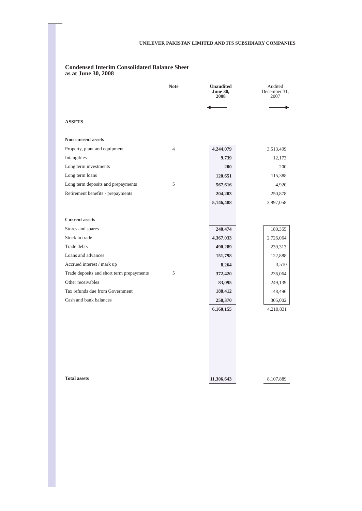#### **Condensed Interim Consolidated Balance Sheet as at June 30, 2008**

|                                           | <b>Note</b> | <b>Unaudited</b><br><b>June 30,</b><br>2008 | Audited<br>December 31,<br>2007 |
|-------------------------------------------|-------------|---------------------------------------------|---------------------------------|
|                                           |             |                                             |                                 |
| <b>ASSETS</b>                             |             |                                             |                                 |
| <b>Non-current assets</b>                 |             |                                             |                                 |
| Property, plant and equipment             | 4           | 4,244,079                                   | 3,513,499                       |
| Intangibles                               |             | 9,739                                       | 12,173                          |
| Long term investments                     |             | 200                                         | 200                             |
| Long term loans                           |             | 120,651                                     | 115,388                         |
| Long term deposits and prepayments        | 5           | 567,616                                     | 4,920                           |
| Retirement benefits - prepayments         |             | 204,203                                     | 250,878                         |
|                                           |             | 5,146,488                                   | 3,897,058                       |
|                                           |             |                                             |                                 |
| <b>Current assets</b>                     |             |                                             |                                 |
| Stores and spares                         |             | 240,474                                     | 180,355                         |
| Stock in trade                            |             | 4,367,033                                   | 2,726,064                       |
| Trade debts                               |             | 490,289                                     | 239,313                         |
| Loans and advances                        |             | 151,798                                     | 122,888                         |
| Accrued interest / mark up                |             | 8,264                                       | 3,510                           |
| Trade deposits and short term prepayments | 5           | 372,420                                     | 236,064                         |
| Other receivables                         |             | 83,095                                      | 249,139                         |
| Tax refunds due from Government           |             | 188,412                                     | 148,496                         |
| Cash and bank balances                    |             | 258,370                                     | 305,002                         |
|                                           |             | 6,160,155                                   | 4,210,831                       |

**Total assets** 

**11,306,643** 

8,107,889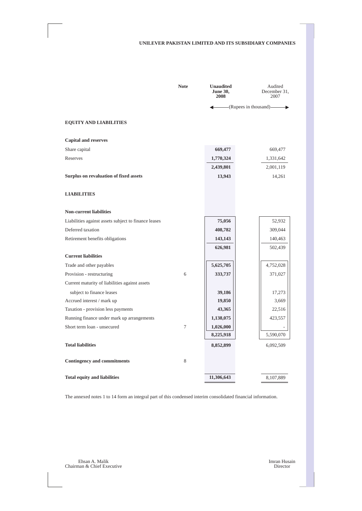|                                                      | <b>Note</b> | <b>Unaudited</b><br><b>June 30,</b><br>2008 | Audited<br>December 31,<br>2007 |
|------------------------------------------------------|-------------|---------------------------------------------|---------------------------------|
|                                                      |             |                                             | (Rupees in thousand)—           |
| <b>EQUITY AND LIABILITIES</b>                        |             |                                             |                                 |
| <b>Capital and reserves</b>                          |             |                                             |                                 |
| Share capital                                        |             | 669,477                                     | 669,477                         |
| Reserves                                             |             | 1,770,324                                   | 1,331,642                       |
|                                                      |             | 2,439,801                                   | 2,001,119                       |
| Surplus on revaluation of fixed assets               |             | 13,943                                      | 14,261                          |
| <b>LIABILITIES</b>                                   |             |                                             |                                 |
| <b>Non-current liabilities</b>                       |             |                                             |                                 |
| Liabilities against assets subject to finance leases |             | 75,056                                      | 52,932                          |
| Deferred taxation                                    |             | 408,782                                     | 309,044                         |
| Retirement benefits obligations                      |             | 143,143                                     | 140,463                         |
|                                                      |             | 626,981                                     | 502,439                         |
| <b>Current liabilities</b>                           |             |                                             |                                 |
| Trade and other payables                             |             | 5,625,705                                   | 4,752,028                       |
| Provision - restructuring                            | 6           | 333,737                                     | 371,027                         |
| Current maturity of liabilities against assets       |             |                                             |                                 |
| subject to finance leases                            |             | 39,186                                      | 17,273                          |
| Accrued interest / mark up                           |             | 19,850                                      | 3,669                           |
| Taxation - provision less payments                   |             | 43,365                                      | 22,516                          |
| Running finance under mark up arrangements           |             | 1,138,075                                   | 423,557                         |
| Short term loan - unsecured                          | 7           | 1,026,000                                   |                                 |
|                                                      |             | 8,225,918                                   | 5,590,070                       |
| <b>Total liabilities</b>                             |             | 8,852,899                                   | 6,092,509                       |
| <b>Contingency and commitments</b>                   | 8           |                                             |                                 |
| <b>Total equity and liabilities</b>                  |             | 11,306,643                                  | 8,107,889                       |

The annexed notes 1 to 14 form an integral part of this condensed interim consolidated financial information.

Ehsan A. Malik Imran Husain Chairman & Chief Executive Director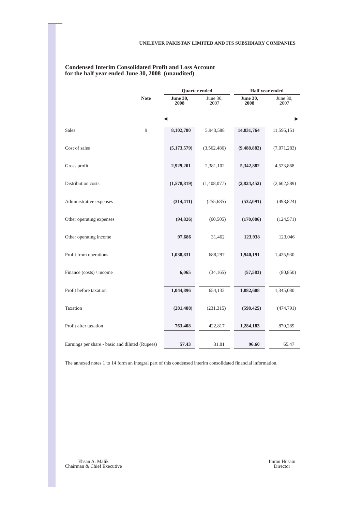|                                                 |             | <b>Quarter</b> ended    |                  | Half year ended         |                  |  |
|-------------------------------------------------|-------------|-------------------------|------------------|-------------------------|------------------|--|
|                                                 | <b>Note</b> | <b>June 30,</b><br>2008 | June 30,<br>2007 | <b>June 30,</b><br>2008 | June 30,<br>2007 |  |
|                                                 |             |                         |                  |                         |                  |  |
|                                                 |             |                         |                  |                         |                  |  |
| Sales                                           | 9           | 8,102,780               | 5,943,588        | 14,831,764              | 11,595,151       |  |
|                                                 |             |                         |                  |                         |                  |  |
| Cost of sales                                   |             | (5,173,579)             | (3,562,486)      | (9,488,882)             | (7,071,283)      |  |
|                                                 |             |                         |                  |                         |                  |  |
| Gross profit                                    |             | 2,929,201               | 2,381,102        | 5,342,882               | 4,523,868        |  |
| Distribution costs                              |             |                         |                  |                         |                  |  |
|                                                 |             | (1,578,819)             | (1,408,077)      | (2,824,452)             | (2,602,589)      |  |
| Administrative expenses                         |             | (314, 411)              | (255, 685)       | (532,091)               | (493, 824)       |  |
|                                                 |             |                         |                  |                         |                  |  |
| Other operating expenses                        |             | (94, 826)               | (60, 505)        | (170,086)               | (124, 571)       |  |
|                                                 |             |                         |                  |                         |                  |  |
| Other operating income                          |             | 97,686                  | 31,462           | 123,938                 | 123,046          |  |
| Profit from operations                          |             | 1,038,831               | 688,297          | 1,940,191               | 1,425,930        |  |
|                                                 |             |                         |                  |                         |                  |  |
| Finance (costs) / income                        |             | 6,065                   | (34, 165)        | (57, 583)               | (80, 850)        |  |
|                                                 |             |                         |                  |                         |                  |  |
| Profit before taxation                          |             | 1,044,896               | 654,132          | 1,882,608               | 1,345,080        |  |
|                                                 |             |                         |                  |                         |                  |  |
| Taxation                                        |             | (281, 488)              | (231, 315)       | (598, 425)              | (474, 791)       |  |
| Profit after taxation                           |             | 763,408                 | 422,817          | 1,284,183               | 870,289          |  |
|                                                 |             |                         |                  |                         |                  |  |
| Earnings per share - basic and diluted (Rupees) |             | 57.43                   | 31.81            | 96.60                   | 65.47            |  |

# **Condensed Interim Consolidated Profit and Loss Account for the half year ended June 30, 2008 (unaudited)**

The annexed notes 1 to 14 form an integral part of this condensed interim consolidated financial information.

Ehsan A. Malik Imran Husain Chairman & Chief Executive Director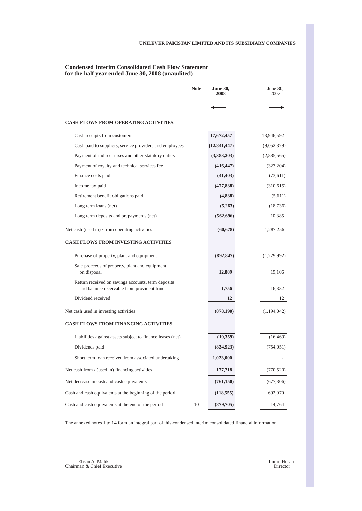# **Condensed Interim Consolidated Cash Flow Statement for the half year ended June 30, 2008 (unaudited)**

|                                                                                                  | <b>Note</b> | <b>June 30,</b><br>2008 | June 30,<br>2007 |
|--------------------------------------------------------------------------------------------------|-------------|-------------------------|------------------|
|                                                                                                  |             |                         |                  |
| <b>CASH FLOWS FROM OPERATING ACTIVITIES</b>                                                      |             |                         |                  |
| Cash receipts from customers                                                                     |             | 17,672,457              | 13,946,592       |
| Cash paid to suppliers, service providers and employees                                          |             | (12, 841, 447)          | (9,052,379)      |
| Payment of indirect taxes and other statutory duties                                             |             | (3,383,203)             | (2,885,565)      |
| Payment of royalty and technical services fee                                                    |             | (416, 447)              | (323, 204)       |
| Finance costs paid                                                                               |             | (41, 403)               | (73,611)         |
| Income tax paid                                                                                  |             | (477, 838)              | (310,615)        |
| Retirement benefit obligations paid                                                              |             | (4,838)                 | (5,611)          |
| Long term loans (net)                                                                            |             | (5,263)                 | (18, 736)        |
| Long term deposits and prepayments (net)                                                         |             | (562, 696)              | 10,385           |
| Net cash (used in) / from operating activities                                                   |             | (60, 678)               | 1,287,256        |
| <b>CASH FLOWS FROM INVESTING ACTIVITIES</b>                                                      |             |                         |                  |
| Purchase of property, plant and equipment                                                        |             | (892, 847)              | (1,229,992)      |
| Sale proceeds of property, plant and equipment<br>on disposal                                    |             | 12,889                  | 19,106           |
| Return received on savings accounts, term deposits<br>and balance receivable from provident fund |             | 1,756                   | 16,832           |
| Dividend received                                                                                |             | 12                      | 12               |
| Net cash used in investing activities                                                            |             | (878, 190)              | (1,194,042)      |
| <b>CASH FLOWS FROM FINANCING ACTIVITIES</b>                                                      |             |                         |                  |
| Liabilities against assets subject to finance leases (net)                                       |             | (10, 359)               | (16, 469)        |
| Dividends paid                                                                                   |             | (834, 923)              | (754, 051)       |
| Short term loan received from associated undertaking                                             |             | 1,023,000               | -                |
| Net cash from / (used in) financing activities                                                   |             | 177,718                 | (770, 520)       |
| Net decrease in cash and cash equivalents                                                        |             | (761, 150)              | (677, 306)       |
| Cash and cash equivalents at the beginning of the period                                         |             | (118, 555)              | 692,070          |
| Cash and cash equivalents at the end of the period                                               | 10          | (879, 705)              | 14,764           |

The annexed notes 1 to 14 form an integral part of this condensed interim consolidated financial information.

Ehsan A. Malik Imran Husain Chairman & Chief Executive Director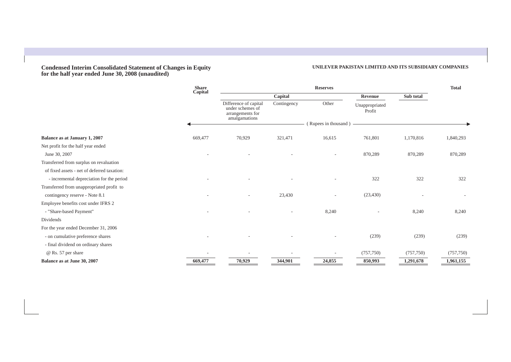#### **Condensed Interim Consolidated Statement of Changes in Equity for the half year ended June 30, 2008 (unaudited)**

### **UNILEVER PAKISTAN LIMITED AND ITS SUBSIDIARY COMPANIES**

|                                             | <b>Share</b><br>Capital | <b>Reserves</b>                                                                |             |                      |                          | <b>Total</b> |            |
|---------------------------------------------|-------------------------|--------------------------------------------------------------------------------|-------------|----------------------|--------------------------|--------------|------------|
|                                             |                         | Capital                                                                        |             |                      | Revenue                  | Sub total    |            |
|                                             |                         | Difference of capital<br>under schemes of<br>arrangements for<br>amalgamations | Contingency | Other                | Unappropriated<br>Profit |              |            |
|                                             |                         |                                                                                |             | (Rupees in thousand) |                          |              |            |
| Balance as at January 1, 2007               | 669,477                 | 70,929                                                                         | 321,471     | 16,615               | 761,801                  | 1,170,816    | 1,840,293  |
| Net profit for the half year ended          |                         |                                                                                |             |                      |                          |              |            |
| June 30, 2007                               |                         |                                                                                |             | ۰                    | 870,289                  | 870,289      | 870,289    |
| Transferred from surplus on revaluation     |                         |                                                                                |             |                      |                          |              |            |
| of fixed assets - net of deferred taxation: |                         |                                                                                |             |                      |                          |              |            |
| - incremental depreciation for the period   |                         |                                                                                |             |                      | 322                      | 322          | 322        |
| Transferred from unappropriated profit to   |                         |                                                                                |             |                      |                          |              |            |
| contingency reserve - Note 8.1              |                         |                                                                                | 23,430      |                      | (23, 430)                |              |            |
| Employee benefits cost under IFRS 2         |                         |                                                                                |             |                      |                          |              |            |
| - "Share-based Payment"                     |                         | ٠                                                                              |             | 8,240                | ٠                        | 8,240        | 8,240      |
| Dividends                                   |                         |                                                                                |             |                      |                          |              |            |
| For the year ended December 31, 2006        |                         |                                                                                |             |                      |                          |              |            |
| - on cumulative preference shares           |                         |                                                                                |             |                      | (239)                    | (239)        | (239)      |
| - final dividend on ordinary shares         |                         |                                                                                |             |                      |                          |              |            |
| @ Rs. 57 per share                          |                         |                                                                                |             |                      | (757, 750)               | (757, 750)   | (757, 750) |
| Balance as at June 30, 2007                 | 669,477                 | 70,929                                                                         | 344,901     | 24,855               | 850,993                  | 1,291,678    | 1,961,155  |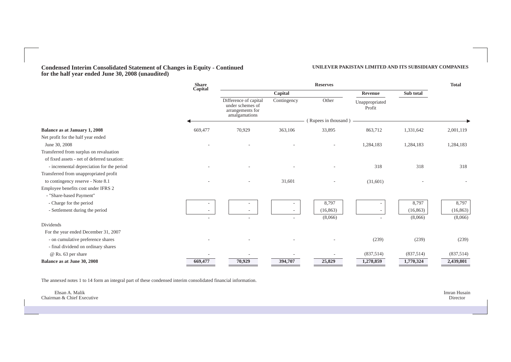**Condensed Interim Consolidated Statement of Changes in Equity - Continued for the half year ended June 30, 2008 (unaudited)** 

#### **UNILEVER PAKISTAN LIMITED AND ITS SUBSIDIARY COMPANIES**

|                                             | <b>Share</b> | <b>Reserves</b>                                                                |             |                      | <b>Total</b>             |           |           |
|---------------------------------------------|--------------|--------------------------------------------------------------------------------|-------------|----------------------|--------------------------|-----------|-----------|
|                                             | Capital      |                                                                                | Capital     |                      | Revenue                  | Sub total |           |
|                                             |              | Difference of capital<br>under schemes of<br>arrangements for<br>amalgamations | Contingency | Other                | Unappropriated<br>Profit |           |           |
|                                             |              |                                                                                |             | (Rupees in thousand) |                          |           |           |
| <b>Balance as at January 1, 2008</b>        | 669,477      | 70,929                                                                         | 363,106     | 33,895               | 863,712                  | 1,331,642 | 2,001,119 |
| Net profit for the half year ended          |              |                                                                                |             |                      |                          |           |           |
| June 30, 2008                               |              |                                                                                |             |                      | 1,284,183                | 1,284,183 | 1,284,183 |
| Transferred from surplus on revaluation     |              |                                                                                |             |                      |                          |           |           |
| of fixed assets - net of deferred taxation: |              |                                                                                |             |                      |                          |           |           |
| - incremental depreciation for the period   |              |                                                                                |             |                      | 318                      | 318       | 318       |
| Transferred from unappropriated profit      |              |                                                                                |             |                      |                          |           |           |
| to contingency reserve - Note 8.1           |              |                                                                                | 31,601      |                      | (31,601)                 |           |           |
| Employee benefits cost under IFRS 2         |              |                                                                                |             |                      |                          |           |           |
| - "Share-based Payment"                     |              |                                                                                |             |                      |                          |           |           |
| - Charge for the period                     |              |                                                                                |             | 8,797                |                          | 8,797     | 8,797     |
| - Settlement during the period              |              |                                                                                |             | (16, 863)            |                          | (16, 863) | (16, 863) |
|                                             |              |                                                                                |             | (8,066)              |                          | (8,066)   | (8,066)   |
| Dividends                                   |              |                                                                                |             |                      |                          |           |           |
| For the year ended December 31, 2007        |              |                                                                                |             |                      |                          |           |           |
| - on cumulative preference shares           |              |                                                                                |             |                      | (239)                    | (239)     | (239)     |
| - final dividend on ordinary shares         |              |                                                                                |             |                      |                          |           |           |
| @ Rs. 63 per share                          |              |                                                                                |             |                      | (837,514)                | (837,514) | (837,514) |
| Balance as at June 30, 2008                 | 669,477      | 70,929                                                                         | 394,707     | 25,829               | 1,278,859                | 1,770,324 | 2,439,801 |

The annexed notes 1 to 14 form an integral part of these condensed interim consolidated financial information.

|                            | $-$          |
|----------------------------|--------------|
| Ehsan A. Malik             | Imran Husain |
| Chairman & Chief Executive | Director     |
|                            |              |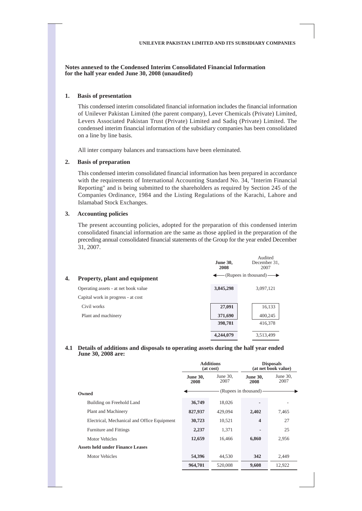**Notes annexed to the Condensed Interim Consolidated Financial Information for the half year ended June 30, 2008 (unaudited)** 

#### **1. Basis of presentation**

This condensed interim consolidated financial information includes the financial information of Unilever Pakistan Limited (the parent company), Lever Chemicals (Private) Limited, Levers Associated Pakistan Trust (Private) Limited and Sadiq (Private) Limited. The condensed interim financial information of the subsidiary companies has been consolidated on a line by line basis.

All inter company balances and transactions have been eleminated.

### **2. Basis of preparation**

This condensed interim consolidated financial information has been prepared in accordance with the requirements of International Accounting Standard No. 34, "Interim Financial Reporting" and is being submitted to the shareholders as required by Section 245 of the Companies Ordinance, 1984 and the Listing Regulations of the Karachi, Lahore and Islamabad Stock Exchanges.

### **3. Accounting policies**

The present accounting policies, adopted for the preparation of this condensed interim consolidated financial information are the same as those applied in the preparation of the preceding annual consolidated financial statements of the Group for the year ended December 31, 2007.

|    |                                      | <b>June 30,</b><br>2008 | Audited<br>December 31,<br>2007 |
|----|--------------------------------------|-------------------------|---------------------------------|
| 4. | Property, plant and equipment        |                         | $-(Rupees in thousand)$         |
|    | Operating assets - at net book value | 3,845,298               | 3,097,121                       |
|    | Capital work in progress - at cost   |                         |                                 |
|    | Civil works                          | 27,091                  | 16,133                          |
|    | Plant and machinery                  | 371,690                 | 400,245                         |
|    |                                      | 398,781                 | 416,378                         |
|    |                                      | 4,244,079               | 3,513,499                       |

#### **4.1 Details of additions and disposals to operating assets during the half year ended June 30, 2008 are:**

|                                             | <b>Additions</b><br>(at cost) |                     | <b>Disposals</b><br>(at net book value) |                     |
|---------------------------------------------|-------------------------------|---------------------|-----------------------------------------|---------------------|
|                                             | <b>June 30,</b><br>2008       | June $30$ ,<br>2007 | <b>June 30,</b><br>2008                 | June $30$ ,<br>2007 |
| Owned                                       |                               |                     | (Rupees in thousand) -                  |                     |
| Building on Freehold Land                   | 36,749                        | 18,026              |                                         |                     |
| Plant and Machinery                         | 827,937                       | 429,094             | 2,402                                   | 7,465               |
| Electrical, Mechanical and Office Equipment | 30,723                        | 10,521              | $\overline{\mathbf{4}}$                 | 27                  |
| <b>Furniture and Fittings</b>               | 2,237                         | 1,371               |                                         | 25                  |
| Motor Vehicles                              | 12,659                        | 16.466              | 6,860                                   | 2,956               |
| <b>Assets held under Finance Leases</b>     |                               |                     |                                         |                     |
| Motor Vehicles                              | 54,396                        | 44,530              | 342                                     | 2,449               |
|                                             | 964,701                       | 520,008             | 9,608                                   | 12,922              |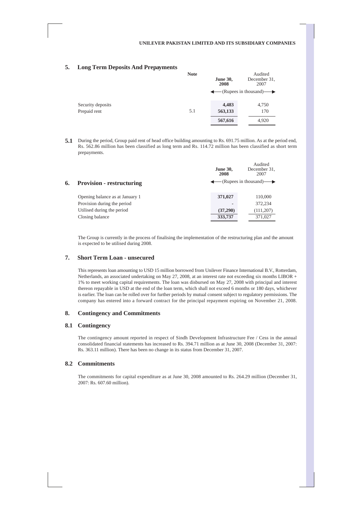### **5. Long Term Deposits And Prepayments**

|                   | <b>Note</b> | <b>June 30,</b><br>2008 | Audited<br>December 31,<br>2007                 |
|-------------------|-------------|-------------------------|-------------------------------------------------|
|                   |             |                         | $\leftarrow$ (Rupees in thousand) $\rightarrow$ |
| Security deposits |             | 4,483                   | 4,750                                           |
| Prepaid rent      | 5.1         | 563,133                 | 170                                             |
|                   |             | 567,616                 | 4,920                                           |

**5.1** During the period, Group paid rent of head office building amounting to Rs. 691.75 million. As at the period end, Rs. 562.86 million has been classified as long term and Rs. 114.72 million has been classified as short term prepayments.

|                                        | <b>June 30,</b><br>2008 | Audited<br>December 31.<br>2007                 |
|----------------------------------------|-------------------------|-------------------------------------------------|
| <b>Provision - restructuring</b><br>6. |                         | $\leftarrow$ (Rupees in thousand) $\rightarrow$ |
| Opening balance as at January 1        | 371,027                 | 110,000                                         |
| Provision during the period            |                         | 372,234                                         |
| Utilised during the period             | (37,290)                | (111, 207)                                      |
| Closing balance                        | 333,737                 | 371,027                                         |

The Group is currently in the process of finalising the implementation of the restructuring plan and the amount is expected to be utilised during 2008.

### **7. Short Term Loan - unsecured**

This represents loan amounting to USD 15 million borrowed from Unilever Finance International B.V., Rotterdam, Netherlands, an associated undertaking on May 27, 2008, at an interest rate not exceeding six months LIBOR + 1% to meet working capital requirements. The loan was disbursed on May 27, 2008 with principal and interest thereon repayable in USD at the end of the loan term, which shall not exceed 6 months or 180 days, whichever is earlier. The loan can be rolled over for further periods by mutual consent subject to regulatory permissions. The company has entered into a forward contract for the principal repayment expiring on November 21, 2008.

#### **8. Contingency and Commitments**

#### **8.1 Contingency**

The contingency amount reported in respect of Sindh Development Infrastructure Fee / Cess in the annual consolidated financial statements has increased to Rs. 394.71 million as at June 30, 2008 (December 31, 2007: Rs. 363.11 million). There has been no change in its status from December 31, 2007.

#### **8.2 Commitments**

The commitments for capital expenditure as at June 30, 2008 amounted to Rs. 264.29 million (December 31, 2007: Rs. 607.60 million).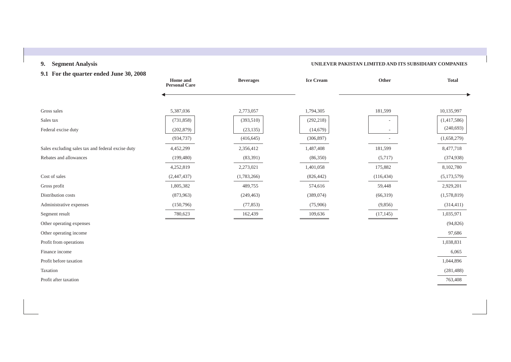# **9. Segment Analysis UNILEVER PAKISTAN LIMITED AND ITS SUBSIDIARY COMPANIES**

# **9.1 For the quarter ended June 30, 2008**

|                                                   | Home and<br><b>Personal Care</b> | <b>Beverages</b> | <b>Ice Cream</b> | Other                    | <b>Total</b> |
|---------------------------------------------------|----------------------------------|------------------|------------------|--------------------------|--------------|
|                                                   |                                  |                  |                  |                          |              |
| Gross sales                                       | 5,387,036                        | 2,773,057        | 1,794,305        | 181,599                  | 10,135,997   |
| Sales tax                                         | (731, 858)                       | (393,510)        | (292, 218)       | $\overline{\phantom{a}}$ | (1,417,586)  |
| Federal excise duty                               | (202, 879)                       | (23, 135)        | (14,679)         |                          | (240, 693)   |
|                                                   | (934, 737)                       | (416, 645)       | (306, 897)       |                          | (1,658,279)  |
| Sales excluding sales tax and federal excise duty | 4,452,299                        | 2,356,412        | 1,487,408        | 181,599                  | 8,477,718    |
| Rebates and allowances                            | (199, 480)                       | (83,391)         | (86,350)         | (5,717)                  | (374, 938)   |
|                                                   | 4,252,819                        | 2,273,021        | 1,401,058        | 175,882                  | 8,102,780    |
| Cost of sales                                     | (2,447,437)                      | (1,783,266)      | (826, 442)       | (116, 434)               | (5,173,579)  |
| Gross profit                                      | 1,805,382                        | 489,755          | 574,616          | 59,448                   | 2,929,201    |
| Distribution costs                                | (873,963)                        | (249, 463)       | (389,074)        | (66,319)                 | (1,578,819)  |
| Administrative expenses                           | (150, 796)                       | (77, 853)        | (75,906)         | (9,856)                  | (314, 411)   |
| Segment result                                    | 780,623                          | 162,439          | 109,636          | (17, 145)                | 1,035,971    |
| Other operating expenses                          |                                  |                  |                  |                          | (94, 826)    |
| Other operating income                            |                                  |                  |                  |                          | 97,686       |
| Profit from operations                            |                                  |                  |                  |                          | 1,038,831    |
| Finance income                                    |                                  |                  |                  |                          | 6,065        |
| Profit before taxation                            |                                  |                  |                  |                          | 1,044,896    |
| Taxation                                          |                                  |                  |                  |                          | (281, 488)   |
| Profit after taxation                             |                                  |                  |                  |                          | 763,408      |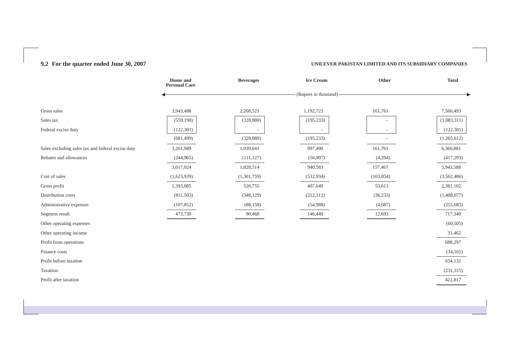# **9.2 For the quarter ended June 30, 2007 UNILEVER PAKISTAN LIMITED AND ITS SUBSIDIARY COMPANIES**

|                                                   | Home and<br><b>Personal Care</b> | <b>Beverages</b> | <b>Ice Cream</b>     | Other                    | <b>Total</b> |
|---------------------------------------------------|----------------------------------|------------------|----------------------|--------------------------|--------------|
|                                                   |                                  |                  | (Rupees in thousand) |                          |              |
|                                                   |                                  |                  |                      |                          |              |
| Gross sales                                       | 3,943,488                        | 2,268,521        | 1,192,723            | 161,761                  | 7,566,493    |
| Sales tax                                         | (559, 198)                       | (328, 880)       | (195, 233)           | $\overline{\phantom{a}}$ | (1,083,311)  |
| Federal excise duty                               | (122, 301)                       |                  |                      | $\overline{\phantom{a}}$ | (122, 301)   |
|                                                   | (681, 499)                       | (328, 880)       | (195, 233)           |                          | (1,205,612)  |
| Sales excluding sales tax and federal excise duty | 3,261,989                        | 1,939,641        | 997,490              | 161,761                  | 6,360,881    |
| Rebates and allowances                            | (244, 965)                       | (111, 127)       | (56,907)             | (4,294)                  | (417,293)    |
|                                                   | 3,017,024                        | 1,828,514        | 940,583              | 157,467                  | 5,943,588    |
| Cost of sales                                     | (1,623,939)                      | (1,301,759)      | (532, 934)           | (103, 854)               | (3,562,486)  |
| Gross profit                                      | 1,393,085                        | 526,755          | 407,649              | 53,613                   | 2,381,102    |
| Distribution costs                                | (811,503)                        | (348, 129)       | (212, 212)           | (36, 233)                | (1,408,077)  |
| Administrative expenses                           | (107, 852)                       | (88, 158)        | (54,988)             | (4,687)                  | (255, 685)   |
| Segment result                                    | 473,730                          | 90,468           | 140,449              | 12,693                   | 717,340      |
| Other operating expenses                          |                                  |                  |                      |                          | (60, 505)    |
| Other operating income                            |                                  |                  |                      |                          | 31,462       |
| Profit from operations                            |                                  |                  |                      |                          | 688,297      |
| Finance costs                                     |                                  |                  |                      |                          | (34, 165)    |
| Profit before taxation                            |                                  |                  |                      |                          | 654,132      |
| Taxation                                          |                                  |                  |                      |                          | (231, 315)   |
| Profit after taxation                             |                                  |                  |                      |                          | 422,817      |
|                                                   |                                  |                  |                      |                          |              |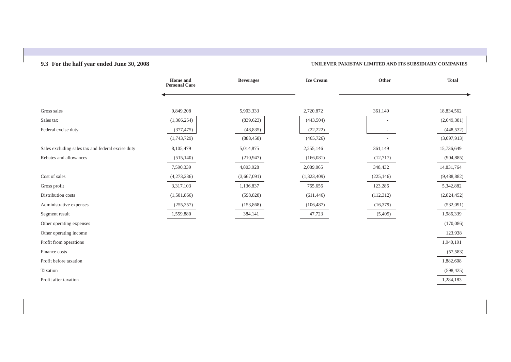# **9.3 For the half year ended June 30, 2008 UNILEVER PAKISTAN LIMITED AND ITS SUBSIDIARY COMPANIES**

|                                                   | Home and<br><b>Personal Care</b> | <b>Beverages</b> | <b>Ice Cream</b> | Other      | <b>Total</b> |
|---------------------------------------------------|----------------------------------|------------------|------------------|------------|--------------|
|                                                   |                                  |                  |                  |            |              |
| Gross sales                                       | 9,849,208                        | 5,903,333        | 2,720,872        | 361,149    | 18,834,562   |
| Sales tax                                         | (1,366,254)                      | (839, 623)       | (443, 504)       |            | (2,649,381)  |
| Federal excise duty                               | (377, 475)                       | (48, 835)        | (22, 222)        |            | (448, 532)   |
|                                                   | (1,743,729)                      | (888, 458)       | (465, 726)       |            | (3,097,913)  |
| Sales excluding sales tax and federal excise duty | 8,105,479                        | 5,014,875        | 2,255,146        | 361,149    | 15,736,649   |
| Rebates and allowances                            | (515, 140)                       | (210, 947)       | (166,081)        | (12,717)   | (904, 885)   |
|                                                   | 7,590,339                        | 4,803,928        | 2,089,065        | 348,432    | 14,831,764   |
| Cost of sales                                     | (4,273,236)                      | (3,667,091)      | (1,323,409)      | (225, 146) | (9,488,882)  |
| Gross profit                                      | 3,317,103                        | 1,136,837        | 765,656          | 123,286    | 5,342,882    |
| Distribution costs                                | (1,501,866)                      | (598, 828)       | (611, 446)       | (112, 312) | (2,824,452)  |
| Administrative expenses                           | (255, 357)                       | (153, 868)       | (106, 487)       | (16, 379)  | (532,091)    |
| Segment result                                    | 1,559,880                        | 384,141          | 47,723           | (5,405)    | 1,986,339    |
| Other operating expenses                          |                                  |                  |                  |            | (170,086)    |
| Other operating income                            |                                  |                  |                  |            | 123,938      |
| Profit from operations                            |                                  |                  |                  |            | 1,940,191    |
| Finance costs                                     |                                  |                  |                  |            | (57, 583)    |
| Profit before taxation                            |                                  |                  |                  |            | 1,882,608    |
| Taxation                                          |                                  |                  |                  |            | (598, 425)   |
| Profit after taxation                             |                                  |                  |                  |            | 1,284,183    |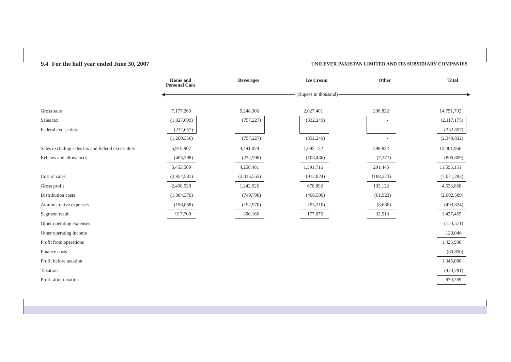# **9.4 For the half year ended June 30, 2007 UNILEVER PAKISTAN LIMITED AND ITS SUBSIDIARY COMPANIES**

|                                                   | Home and<br><b>Personal Care</b> | <b>Beverages</b> | <b>Ice Cream</b>     | Other                    | <b>Total</b> |
|---------------------------------------------------|----------------------------------|------------------|----------------------|--------------------------|--------------|
|                                                   |                                  |                  | (Rupees in thousand) |                          |              |
|                                                   |                                  |                  |                      |                          |              |
| Gross sales                                       | 7,177,263                        | 5,248,306        | 2,027,401            | 298,822                  | 14,751,792   |
| Sales tax                                         | (1,027,699)                      | (757, 227)       | (332, 249)           | $\overline{\phantom{a}}$ | (2,117,175)  |
| Federal excise duty                               | (232, 657)                       |                  |                      |                          | (232, 657)   |
|                                                   | (1,260,356)                      | (757, 227)       | (332, 249)           |                          | (2,349,832)  |
| Sales excluding sales tax and federal excise duty | 5,916,907                        | 4,491,079        | 1,695,152            | 298,822                  | 12,401,960   |
| Rebates and allowances                            | (463,398)                        | (232, 598)       | (103, 436)           | (7, 377)                 | (806, 809)   |
|                                                   | 5,453,509                        | 4,258,481        | 1,591,716            | 291,445                  | 11,595,151   |
| Cost of sales                                     | (2,954,581)                      | (3,015,555)      | (912, 824)           | (188, 323)               | (7,071,283)  |
| Gross profit                                      | 2,498,928                        | 1,242,926        | 678,892              | 103,122                  | 4,523,868    |
| Distribution costs                                | (1,384,370)                      | (749,790)        | (406, 506)           | (61, 923)                | (2,602,589)  |
| Administrative expenses                           | (196, 858)                       | (192,970)        | (95,310)             | (8,686)                  | (493, 824)   |
| Segment result                                    | 917,700                          | 300,166          | 177,076              | 32,513                   | 1,427,455    |
| Other operating expenses                          |                                  |                  |                      |                          | (124, 571)   |
| Other operating income                            |                                  |                  |                      |                          | 123,046      |
| Profit from operations                            |                                  |                  |                      |                          | 1,425,930    |
| Finance costs                                     |                                  |                  |                      |                          | (80, 850)    |
| Profit before taxation                            |                                  |                  |                      |                          | 1,345,080    |
| Taxation                                          |                                  |                  |                      |                          | (474, 791)   |
| Profit after taxation                             |                                  |                  |                      |                          | 870,289      |
|                                                   |                                  |                  |                      |                          |              |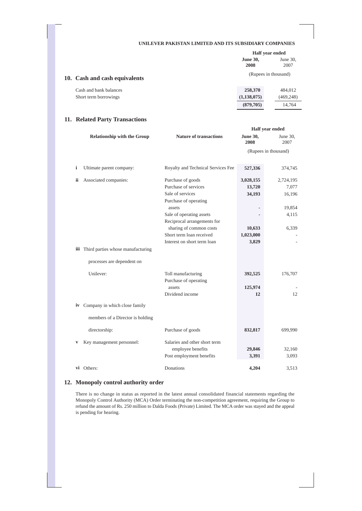|                               |                         | Half year ended     |  |
|-------------------------------|-------------------------|---------------------|--|
|                               | <b>June 30,</b><br>2008 | June $30$ ,<br>2007 |  |
| 10. Cash and cash equivalents | (Rupees in thousand)    |                     |  |
| Cash and bank balances        | 258,370                 | 484,012             |  |
| Short term borrowings         | (1,138,075)             | (469, 248)          |  |
|                               | (879, 705)              | 14.764              |  |

# **11. Related Party Transactions**

|     |                                       |                                    | Half year ended         |                  |
|-----|---------------------------------------|------------------------------------|-------------------------|------------------|
|     | <b>Relationship with the Group</b>    | <b>Nature of transactions</b>      | <b>June 30,</b><br>2008 | June 30,<br>2007 |
|     |                                       |                                    | (Rupees in thousand)    |                  |
|     |                                       |                                    |                         |                  |
| i   | Ultimate parent company:              | Royalty and Technical Services Fee | 527,336                 | 374,745          |
| ii. | Associated companies:                 | Purchase of goods                  | 3,028,155               | 2,724,195        |
|     |                                       | Purchase of services               | 13,720                  | 7,077            |
|     |                                       | Sale of services                   | 34,193                  | 16,196           |
|     |                                       | Purchase of operating              |                         |                  |
|     |                                       | assets                             |                         | 19,854           |
|     |                                       | Sale of operating assets           |                         | 4,115            |
|     |                                       | Reciprocal arrangements for        |                         |                  |
|     |                                       | sharing of common costs            | 10,633                  | 6,339            |
|     |                                       | Short term loan received           | 1,023,000               |                  |
|     |                                       | Interest on short term loan        | 3,829                   |                  |
|     | iii Third parties whose manufacturing |                                    |                         |                  |
|     | processes are dependent on            |                                    |                         |                  |
|     | Unilever:                             | Toll manufacturing                 | 392,525                 | 176,707          |
|     |                                       | Purchase of operating              |                         |                  |
|     |                                       | assets                             | 125,974                 |                  |
|     |                                       | Dividend income                    | 12                      | 12               |
|     | iv Company in which close family      |                                    |                         |                  |
|     | members of a Director is holding      |                                    |                         |                  |
|     |                                       |                                    |                         |                  |
|     | directorship:                         | Purchase of goods                  | 832,817                 | 699,990          |
| V   | Key management personnel:             | Salaries and other short term      |                         |                  |
|     |                                       | employee benefits                  | 29,846                  | 32,160           |
|     |                                       | Post employment benefits           | 3,391                   | 3,093            |
|     | vi Others:                            | Donations                          | 4.204                   | 3,513            |
|     |                                       |                                    |                         |                  |

# **12. Monopoly control authority order**

There is no change in status as reported in the latest annual consolidated financial statements regarding the Monopoly Control Authority (MCA) Order terminating the non-competition agreement, requiring the Group to refund the amount of Rs. 250 million to Dalda Foods (Private) Limited. The MCA order was stayed and the appeal is pending for hearing.